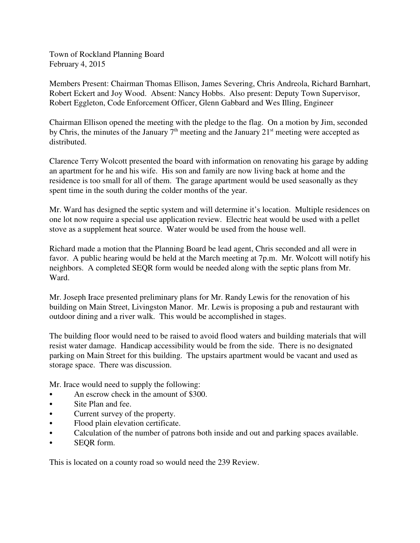Town of Rockland Planning Board February 4, 2015

Members Present: Chairman Thomas Ellison, James Severing, Chris Andreola, Richard Barnhart, Robert Eckert and Joy Wood. Absent: Nancy Hobbs. Also present: Deputy Town Supervisor, Robert Eggleton, Code Enforcement Officer, Glenn Gabbard and Wes Illing, Engineer

Chairman Ellison opened the meeting with the pledge to the flag. On a motion by Jim, seconded by Chris, the minutes of the January  $7<sup>th</sup>$  meeting and the January  $21<sup>st</sup>$  meeting were accepted as distributed.

Clarence Terry Wolcott presented the board with information on renovating his garage by adding an apartment for he and his wife. His son and family are now living back at home and the residence is too small for all of them. The garage apartment would be used seasonally as they spent time in the south during the colder months of the year.

Mr. Ward has designed the septic system and will determine it's location. Multiple residences on one lot now require a special use application review. Electric heat would be used with a pellet stove as a supplement heat source. Water would be used from the house well.

Richard made a motion that the Planning Board be lead agent, Chris seconded and all were in favor. A public hearing would be held at the March meeting at 7p.m. Mr. Wolcott will notify his neighbors. A completed SEQR form would be needed along with the septic plans from Mr. Ward.

Mr. Joseph Irace presented preliminary plans for Mr. Randy Lewis for the renovation of his building on Main Street, Livingston Manor. Mr. Lewis is proposing a pub and restaurant with outdoor dining and a river walk. This would be accomplished in stages.

The building floor would need to be raised to avoid flood waters and building materials that will resist water damage. Handicap accessibility would be from the side. There is no designated parking on Main Street for this building. The upstairs apartment would be vacant and used as storage space. There was discussion.

Mr. Irace would need to supply the following:

- An escrow check in the amount of \$300.
- Site Plan and fee.
- Current survey of the property.
- Flood plain elevation certificate.
- Calculation of the number of patrons both inside and out and parking spaces available.
- SEQR form.

This is located on a county road so would need the 239 Review.